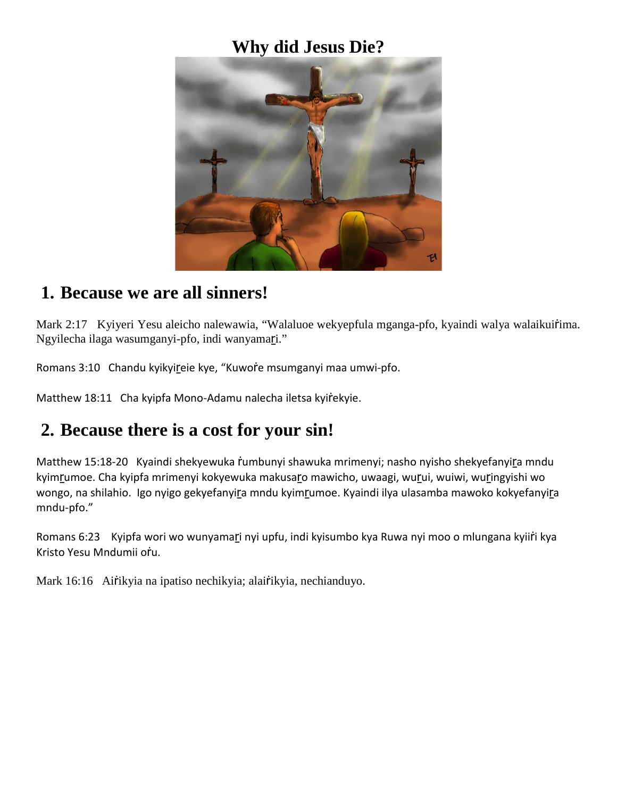### **Why did Jesus Die?**



#### **1. Because we are all sinners!**

Mark 2:17 Kyiyeri Yesu aleicho nalewawia, "Walaluoe wekyepfula mganga-pfo, kyaindi walya walaikuirima. Ngyilecha ilaga wasumganyi-pfo, indi wanyamari."

Romans 3:10 Chandu kyikyireie kye, "Kuwore msumganyi maa umwi-pfo.

Matthew 18:11 Cha kyipfa Mono-Adamu nalecha iletsa kyirekyie.

# **2. Because there is a cost for your sin!**

Matthew 15:18-20 Kyaindi shekyewuka rumbunyi shawuka mrimenyi; nasho nyisho shekyefanyira mndu kyimrumoe. Cha kyipfa mrimenyi kokyewuka makusaro mawicho, uwaagi, wurui, wuiwi, wuringyishi wo wongo, na shilahio. Igo nyigo gekyefanyira mndu kyimrumoe. Kyaindi ilya ulasamba mawoko kokyefanyira mndu-pfo."

Romans 6:23 Kyipfa wori wo wunyamari nyi upfu, indi kyisumbo kya Ruwa nyi moo o mlungana kyiiri kya Kristo Yesu Mndumii oṙu.

Mark 16:16 Airikyia na ipatiso nechikyia; alairikyia, nechianduyo.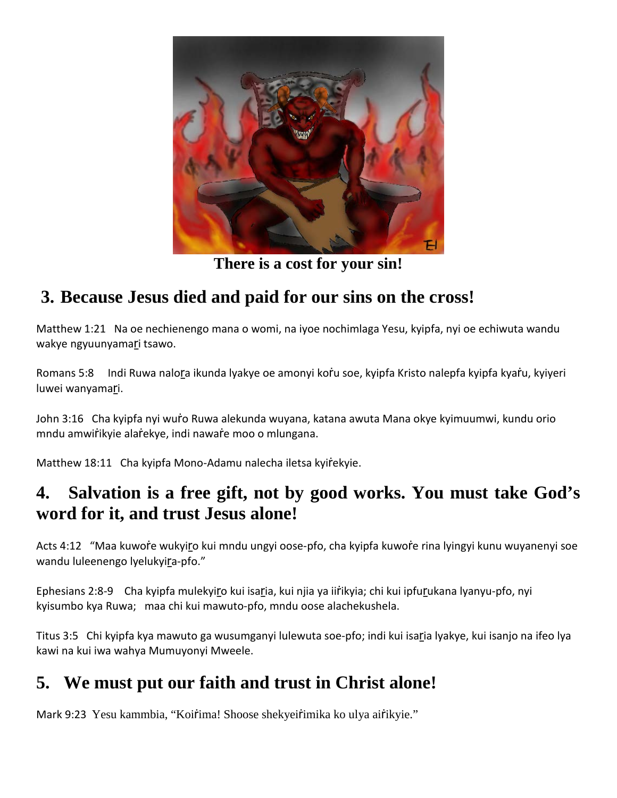

**There is a cost for your sin!**

# **3. Because Jesus died and paid for our sins on the cross!**

Matthew 1:21 Na oe nechienengo mana o womi, na iyoe nochimlaga Yesu, kyipfa, nyi oe echiwuta wandu wakye ngyuunyamari tsawo.

Romans 5:8 Indi Ruwa nalora ikunda lyakye oe amonyi koṙ̀u soe, kyipfa Kristo nalepfa kyipfa kyar̄u, kyiyeri luwei wanyamari.

John 3:16 Cha kyipfa nyi wuro Ruwa alekunda wuyana, katana awuta Mana okye kyimuumwi, kundu orio mndu amwiṙikyie alaṙekye, indi nawaṙe moo o mlungana.

Matthew 18:11 Cha kyipfa Mono-Adamu nalecha iletsa kyiŕekyie.

## **4. Salvation is a free gift, not by good works. You must take God's word for it, and trust Jesus alone!**

Acts 4:12 "Maa kuwoŕe wukyiro kui mndu ungyi oose-pfo, cha kyipfa kuwoŕe rina lyingyi kunu wuyanenyi soe wandu luleenengo lyelukyira-pfo."

Ephesians 2:8-9 Cha kyipfa mulekyiṟo kui isaṟia, kui njia ya iiṙikyia; chi kui ipfuṟukana lyanyu-pfo, nyi kyisumbo kya Ruwa; maa chi kui mawuto-pfo, mndu oose alachekushela.

Titus 3:5 Chi kyipfa kya mawuto ga wusumganyi lulewuta soe-pfo; indi kui isaṟia lyakye, kui isanjo na ifeo lya kawi na kui iwa wahya Mumuyonyi Mweele.

# **5. We must put our faith and trust in Christ alone!**

Mark 9:23 Yesu kammbia, "Koiŕima! Shoose shekyeiŕimika ko ulya aiŕikyie."